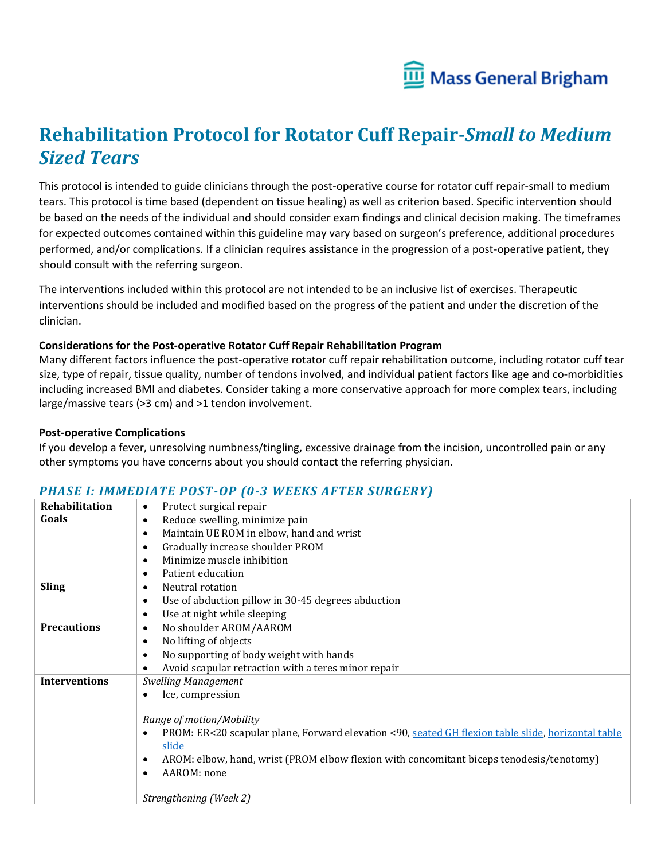

# **Rehabilitation Protocol for Rotator Cuff Repair-***Small to Medium Sized Tears*

This protocol is intended to guide clinicians through the post-operative course for rotator cuff repair-small to medium tears. This protocol is time based (dependent on tissue healing) as well as criterion based. Specific intervention should be based on the needs of the individual and should consider exam findings and clinical decision making. The timeframes for expected outcomes contained within this guideline may vary based on surgeon's preference, additional procedures performed, and/or complications. If a clinician requires assistance in the progression of a post-operative patient, they should consult with the referring surgeon.

The interventions included within this protocol are not intended to be an inclusive list of exercises. Therapeutic interventions should be included and modified based on the progress of the patient and under the discretion of the clinician.

#### **Considerations for the Post-operative Rotator Cuff Repair Rehabilitation Program**

Many different factors influence the post-operative rotator cuff repair rehabilitation outcome, including rotator cuff tear size, type of repair, tissue quality, number of tendons involved, and individual patient factors like age and co-morbidities including increased BMI and diabetes. Consider taking a more conservative approach for more complex tears, including large/massive tears (>3 cm) and >1 tendon involvement.

#### **Post-operative Complications**

If you develop a fever, unresolving numbness/tingling, excessive drainage from the incision, uncontrolled pain or any other symptoms you have concerns about you should contact the referring physician.

### **Rehabilitation Goals** • Protect surgical repair • Reduce swelling, minimize pain • Maintain UE ROM in elbow, hand and wrist • Gradually increase shoulder PROM • Minimize muscle inhibition • Patient education **Sling •** Neutral rotation Use of abduction pillow in 30-45 degrees abduction • Use at night while sleeping **Precautions** • No shoulder AROM/AAROM • No lifting of objects • No supporting of body weight with hands • Avoid scapular retraction with a teres minor repair **Interventions** *Swelling Management* • Ice, compression *Range of motion/Mobility* • PROM: ER<20 scapular plane, Forward elevation <90, [seated GH flexion table slide,](https://www.youtube.com/watch?v=gzNRyeH6lV0) [horizontal table](https://www.youtube.com/watch?v=fMm1EG4wKvI)  [slide](https://www.youtube.com/watch?v=fMm1EG4wKvI) • AROM: elbow, hand, wrist (PROM elbow flexion with concomitant biceps tenodesis/tenotomy) • AAROM: none *Strengthening (Week 2)*

### *PHASE I: IMMEDIATE POST-OP (0-3 WEEKS AFTER SURGERY)*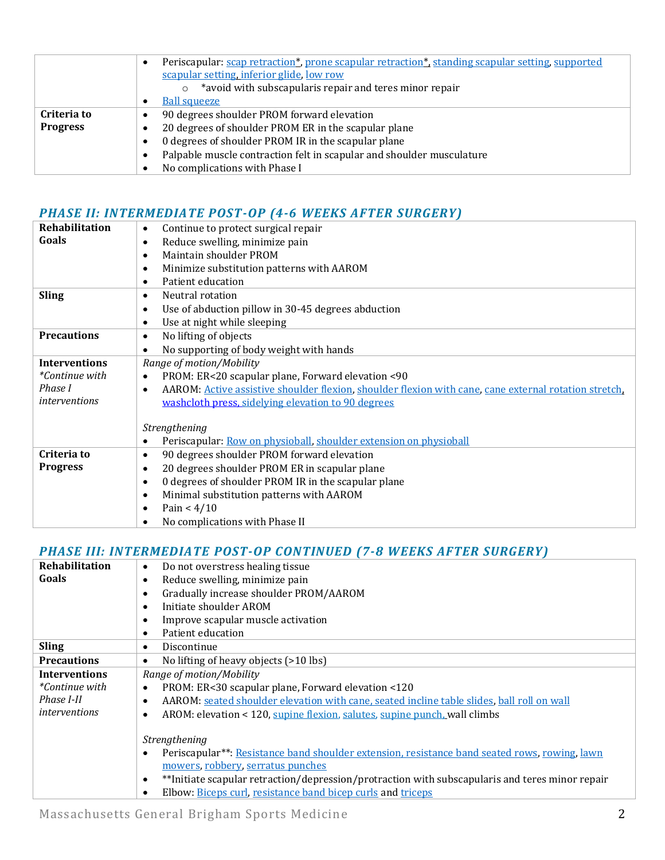|                 | Periscapular: scap retraction*, prone scapular retraction*, standing scapular setting, supported |
|-----------------|--------------------------------------------------------------------------------------------------|
|                 | scapular setting, inferior glide, low row                                                        |
|                 | *avoid with subscapularis repair and teres minor repair                                          |
|                 | <b>Ball squeeze</b>                                                                              |
| Criteria to     | 90 degrees shoulder PROM forward elevation                                                       |
| <b>Progress</b> | 20 degrees of shoulder PROM ER in the scapular plane                                             |
|                 | 0 degrees of shoulder PROM IR in the scapular plane                                              |
|                 | Palpable muscle contraction felt in scapular and shoulder musculature                            |
|                 | No complications with Phase I                                                                    |

### *PHASE II: INTERMEDIATE POST-OP (4-6 WEEKS AFTER SURGERY)*

| Continue to protect surgical repair<br>٠                                                                           |
|--------------------------------------------------------------------------------------------------------------------|
| Reduce swelling, minimize pain<br>$\bullet$                                                                        |
| Maintain shoulder PROM<br>$\bullet$                                                                                |
| Minimize substitution patterns with AAROM<br>$\bullet$                                                             |
| Patient education<br>$\bullet$                                                                                     |
| Neutral rotation<br>$\bullet$                                                                                      |
| Use of abduction pillow in 30-45 degrees abduction<br>$\bullet$                                                    |
| Use at night while sleeping<br>$\bullet$                                                                           |
| No lifting of objects<br>$\bullet$                                                                                 |
| No supporting of body weight with hands<br>$\bullet$                                                               |
| Range of motion/Mobility                                                                                           |
| PROM: ER<20 scapular plane, Forward elevation <90<br>$\bullet$                                                     |
| AAROM: Active assistive shoulder flexion, shoulder flexion with cane, cane external rotation stretch.<br>$\bullet$ |
| washcloth press, sidelying elevation to 90 degrees                                                                 |
|                                                                                                                    |
| Strengthening                                                                                                      |
| Periscapular: Row on physioball, shoulder extension on physioball<br>٠                                             |
| 90 degrees shoulder PROM forward elevation<br>$\bullet$                                                            |
| 20 degrees shoulder PROM ER in scapular plane<br>$\bullet$                                                         |
| 0 degrees of shoulder PROM IR in the scapular plane<br>$\bullet$                                                   |
| Minimal substitution patterns with AAROM<br>$\bullet$                                                              |
| Pain < $4/10$<br>$\bullet$                                                                                         |
| No complications with Phase II                                                                                     |
|                                                                                                                    |

### *PHASE III: INTERMEDIATE POST-OP CONTINUED (7-8 WEEKS AFTER SURGERY)*

| <b>Rehabilitation</b> | Do not overstress healing tissue<br>$\bullet$                                                                |
|-----------------------|--------------------------------------------------------------------------------------------------------------|
| Goals                 | Reduce swelling, minimize pain<br>$\bullet$                                                                  |
|                       | Gradually increase shoulder PROM/AAROM<br>$\bullet$                                                          |
|                       | Initiate shoulder AROM<br>$\bullet$                                                                          |
|                       | Improve scapular muscle activation<br>$\bullet$                                                              |
|                       | Patient education<br>$\bullet$                                                                               |
| <b>Sling</b>          | Discontinue<br>$\bullet$                                                                                     |
| <b>Precautions</b>    | No lifting of heavy objects (>10 lbs)<br>$\bullet$                                                           |
| <b>Interventions</b>  | Range of motion/Mobility                                                                                     |
| <i>*Continue with</i> | PROM: ER<30 scapular plane, Forward elevation <120<br>$\bullet$                                              |
| Phase I-II            | AAROM: seated shoulder elevation with cane, seated incline table slides, ball roll on wall<br>$\bullet$      |
| <i>interventions</i>  | AROM: elevation < 120, supine flexion, salutes, supine punch, wall climbs<br>$\bullet$                       |
|                       |                                                                                                              |
|                       | Strengthening                                                                                                |
|                       | Periscapular**: Resistance band shoulder extension, resistance band seated rows, rowing, lawn<br>$\bullet$   |
|                       | mowers, robbery, serratus punches                                                                            |
|                       | **Initiate scapular retraction/depression/protraction with subscapularis and teres minor repair<br>$\bullet$ |
|                       | Elbow: Biceps curl, resistance band bicep curls and triceps                                                  |
|                       |                                                                                                              |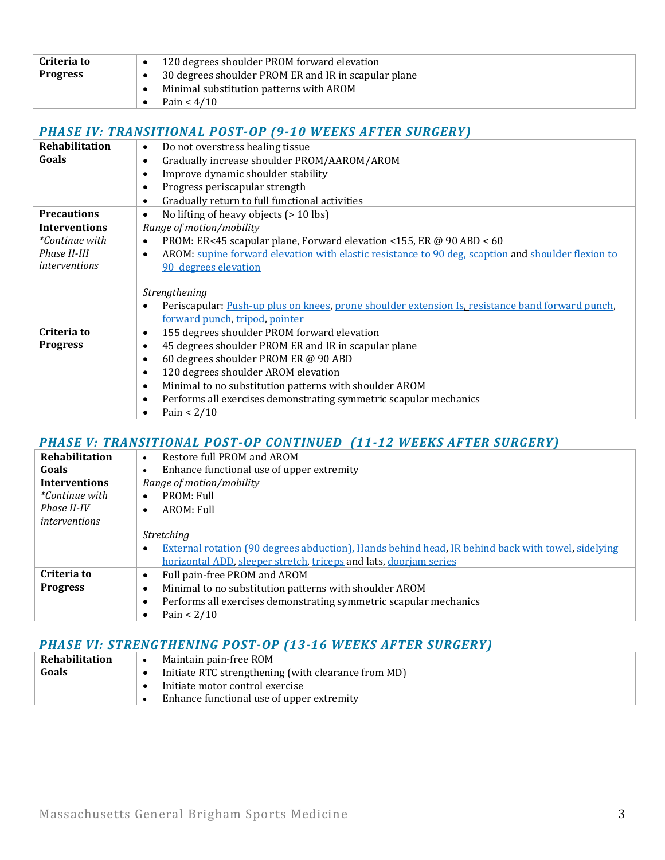| Criteria to     | 120 degrees shoulder PROM forward elevation          |
|-----------------|------------------------------------------------------|
| <b>Progress</b> | 30 degrees shoulder PROM ER and IR in scapular plane |
|                 | Minimal substitution patterns with AROM              |
|                 | Pain $< 4/10$                                        |

### *PHASE IV: TRANSITIONAL POST-OP (9-10 WEEKS AFTER SURGERY)*

| <b>Rehabilitation</b> | Do not overstress healing tissue<br>$\bullet$                                                                   |
|-----------------------|-----------------------------------------------------------------------------------------------------------------|
| Goals                 | Gradually increase shoulder PROM/AAROM/AROM<br>$\bullet$                                                        |
|                       | Improve dynamic shoulder stability<br>$\bullet$                                                                 |
|                       | Progress periscapular strength<br>$\bullet$                                                                     |
|                       | Gradually return to full functional activities<br>$\bullet$                                                     |
| <b>Precautions</b>    | No lifting of heavy objects (> 10 lbs)<br>$\bullet$                                                             |
| <b>Interventions</b>  | Range of motion/mobility                                                                                        |
| *Continue with        | PROM: ER<45 scapular plane, Forward elevation <155, ER @ 90 ABD < 60<br>$\bullet$                               |
| Phase II-III          | AROM: supine forward elevation with elastic resistance to 90 deg, scaption and shoulder flexion to<br>$\bullet$ |
| interventions         | 90 degrees elevation                                                                                            |
|                       |                                                                                                                 |
|                       | Strengthening                                                                                                   |
|                       | Periscapular: Push-up plus on knees, prone shoulder extension Is, resistance band forward punch,<br>$\bullet$   |
|                       | forward punch, tripod, pointer                                                                                  |
| Criteria to           | 155 degrees shoulder PROM forward elevation<br>$\bullet$                                                        |
| <b>Progress</b>       | 45 degrees shoulder PROM ER and IR in scapular plane<br>$\bullet$                                               |
|                       | 60 degrees shoulder PROM ER @ 90 ABD<br>$\bullet$                                                               |
|                       | 120 degrees shoulder AROM elevation<br>$\bullet$                                                                |
|                       | Minimal to no substitution patterns with shoulder AROM<br>$\bullet$                                             |
|                       | Performs all exercises demonstrating symmetric scapular mechanics<br>$\bullet$                                  |
|                       | Pain $< 2/10$                                                                                                   |
|                       |                                                                                                                 |

### *PHASE V: TRANSITIONAL POST-OP CONTINUED (11-12 WEEKS AFTER SURGERY)*

| Rehabilitation        | Restore full PROM and AROM                                                                               |
|-----------------------|----------------------------------------------------------------------------------------------------------|
| Goals                 | Enhance functional use of upper extremity                                                                |
| <b>Interventions</b>  | Range of motion/mobility                                                                                 |
| <i>*Continue with</i> | PROM: Full<br>$\bullet$                                                                                  |
| Phase II-IV           | AROM: Full<br>$\bullet$                                                                                  |
| <i>interventions</i>  |                                                                                                          |
|                       | <i>Stretching</i>                                                                                        |
|                       | <b>External rotation (90 degrees abduction). Hands behind head, IR behind back with towel, sidelying</b> |
|                       | horizontal ADD, sleeper stretch, triceps and lats, doorjam series                                        |
| Criteria to           | Full pain-free PROM and AROM                                                                             |
| <b>Progress</b>       | Minimal to no substitution patterns with shoulder AROM                                                   |
|                       | Performs all exercises demonstrating symmetric scapular mechanics                                        |
|                       | Pain $< 2/10$                                                                                            |

### *PHASE VI: STRENGTHENING POST-OP (13-16 WEEKS AFTER SURGERY)*

| Rehabilitation | Maintain pain-free ROM                              |
|----------------|-----------------------------------------------------|
| Goals          | Initiate RTC strengthening (with clearance from MD) |
|                | Initiate motor control exercise                     |
|                | Enhance functional use of upper extremity           |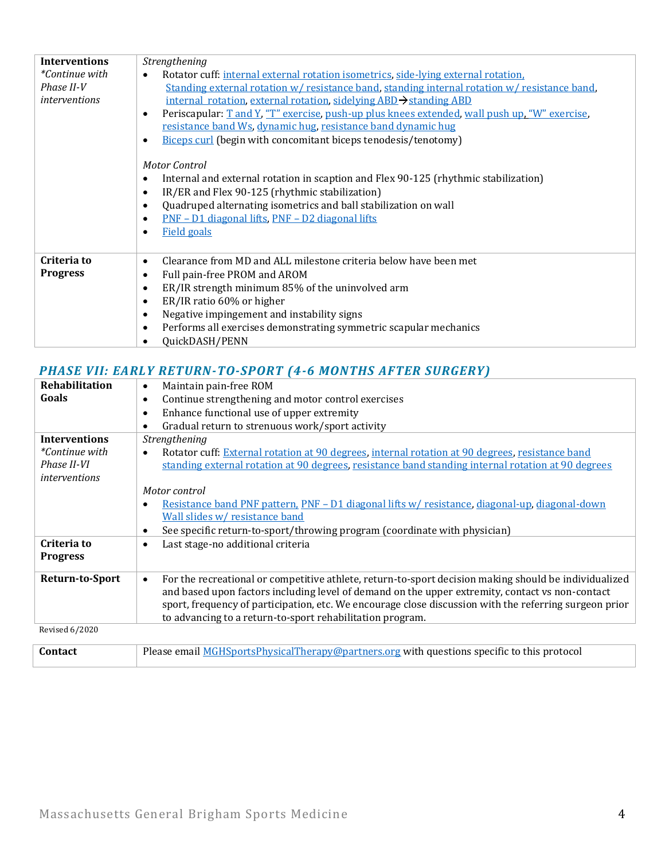| <b>Interventions</b>  | Strengthening                                                                                              |
|-----------------------|------------------------------------------------------------------------------------------------------------|
| <i>*Continue with</i> | Rotator cuff: internal external rotation isometrics, side-lying external rotation.<br>$\bullet$            |
| Phase II-V            | Standing external rotation w/resistance band, standing internal rotation w/resistance band,                |
| <i>interventions</i>  | internal rotation, external rotation, sidelying ABD > standing ABD                                         |
|                       | Periscapular: T and Y, "T" exercise, push-up plus knees extended, wall push up, "W" exercise,<br>$\bullet$ |
|                       | resistance band Ws, dynamic hug, resistance band dynamic hug                                               |
|                       | <b>Biceps curl</b> (begin with concomitant biceps tenodesis/tenotomy)                                      |
|                       | Motor Control                                                                                              |
|                       | Internal and external rotation in scaption and Flex 90-125 (rhythmic stabilization)                        |
|                       | ٠                                                                                                          |
|                       | IR/ER and Flex 90-125 (rhythmic stabilization)<br>$\bullet$                                                |
|                       | Quadruped alternating isometrics and ball stabilization on wall<br>$\bullet$                               |
|                       | <u>PNF – D1 diagonal lifts, PNF – D2 diagonal lifts</u>                                                    |
|                       | <b>Field goals</b>                                                                                         |
|                       |                                                                                                            |
| Criteria to           | Clearance from MD and ALL milestone criteria below have been met                                           |
| <b>Progress</b>       | Full pain-free PROM and AROM<br>$\bullet$                                                                  |
|                       | ER/IR strength minimum 85% of the uninvolved arm<br>$\bullet$                                              |
|                       | ER/IR ratio 60% or higher<br>$\bullet$                                                                     |
|                       | Negative impingement and instability signs<br>$\bullet$                                                    |
|                       | Performs all exercises demonstrating symmetric scapular mechanics                                          |
|                       | QuickDASH/PENN                                                                                             |
|                       |                                                                                                            |

## *PHASE VII: EARLY RETURN-TO-SPORT (4-6 MONTHS AFTER SURGERY)*

| Rehabilitation        | Maintain pain-free ROM<br>٠                                                                                                                                                                                                                                                                                                                                                                  |
|-----------------------|----------------------------------------------------------------------------------------------------------------------------------------------------------------------------------------------------------------------------------------------------------------------------------------------------------------------------------------------------------------------------------------------|
| Goals                 | Continue strengthening and motor control exercises<br>$\bullet$                                                                                                                                                                                                                                                                                                                              |
|                       | Enhance functional use of upper extremity<br>$\bullet$                                                                                                                                                                                                                                                                                                                                       |
|                       | Gradual return to strenuous work/sport activity<br>٠                                                                                                                                                                                                                                                                                                                                         |
| <b>Interventions</b>  | Strengthening                                                                                                                                                                                                                                                                                                                                                                                |
| <i>*Continue with</i> | Rotator cuff: External rotation at 90 degrees, internal rotation at 90 degrees, resistance band<br>$\bullet$                                                                                                                                                                                                                                                                                 |
| Phase II-VI           | standing external rotation at 90 degrees, resistance band standing internal rotation at 90 degrees                                                                                                                                                                                                                                                                                           |
| <i>interventions</i>  |                                                                                                                                                                                                                                                                                                                                                                                              |
|                       | Motor control                                                                                                                                                                                                                                                                                                                                                                                |
|                       | Resistance band PNF pattern, PNF - D1 diagonal lifts w/ resistance, diagonal-up, diagonal-down<br>٠                                                                                                                                                                                                                                                                                          |
|                       | Wall slides w/ resistance band                                                                                                                                                                                                                                                                                                                                                               |
|                       | See specific return-to-sport/throwing program (coordinate with physician)<br>$\bullet$                                                                                                                                                                                                                                                                                                       |
| Criteria to           | Last stage-no additional criteria<br>$\bullet$                                                                                                                                                                                                                                                                                                                                               |
| <b>Progress</b>       |                                                                                                                                                                                                                                                                                                                                                                                              |
| Return-to-Sport       | For the recreational or competitive athlete, return-to-sport decision making should be individualized<br>$\bullet$<br>and based upon factors including level of demand on the upper extremity, contact vs non-contact<br>sport, frequency of participation, etc. We encourage close discussion with the referring surgeon prior<br>to advancing to a return-to-sport rehabilitation program. |
| <b>Revised 6/2020</b> |                                                                                                                                                                                                                                                                                                                                                                                              |

| <b>Contact</b> | Please email MGHSportsPhysicalTherapy@partners.org with questions specific to this protocol |
|----------------|---------------------------------------------------------------------------------------------|
|                |                                                                                             |